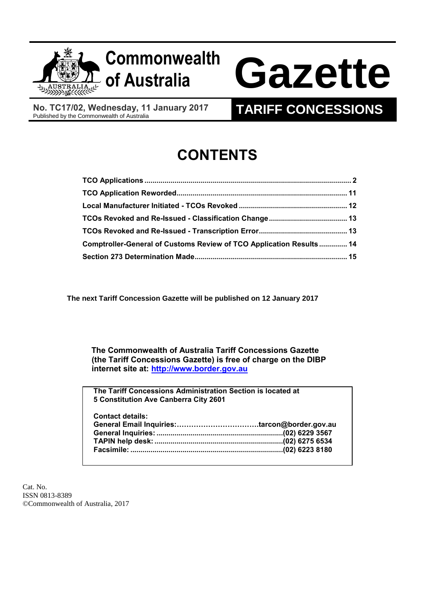

## **Commonwealth**

# **of Australia Gazette**

**No. TC17/02, Wednesday, 11 January 2017**

### **TARIFF CONCESSIONS**

## **CONTENTS**

| Comptroller-General of Customs Review of TCO Application Results 14 |  |
|---------------------------------------------------------------------|--|
|                                                                     |  |

**The next Tariff Concession Gazette will be published on 12 January 2017** 

 **The Commonwealth of Australia Tariff Concessions Gazette (the Tariff Concessions Gazette) is free of charge on the DIBP internet site at: [http://www.border.gov.au](http://www.border.gov.au/)**

**The Tariff Concessions Administration Section is located at 5 Constitution Ave Canberra City 2601**

| <b>Contact details:</b> |  |
|-------------------------|--|
|                         |  |
|                         |  |
|                         |  |
|                         |  |
|                         |  |

Cat. No. ISSN 0813-8389 ©Commonwealth of Australia, 2017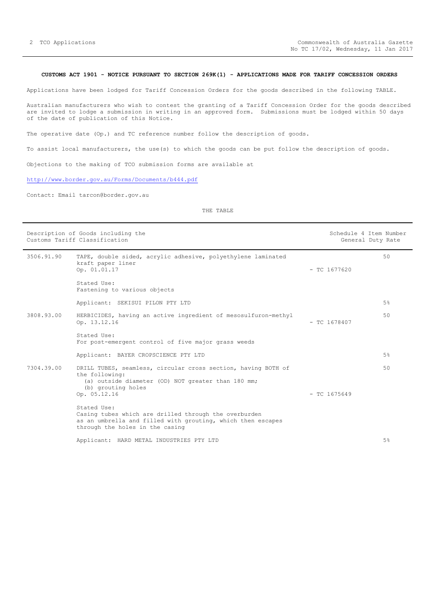#### <span id="page-1-0"></span>**CUSTOMS ACT 1901 - NOTICE PURSUANT TO SECTION 269K(1) - APPLICATIONS MADE FOR TARIFF CONCESSION ORDERS**

Applications have been lodged for Tariff Concession Orders for the goods described in the following TABLE.

Australian manufacturers who wish to contest the granting of a Tariff Concession Order for the goods described are invited to lodge a submission in writing in an approved form. Submissions must be lodged within 50 days of the date of publication of this Notice.

The operative date (Op.) and TC reference number follow the description of goods.

To assist local manufacturers, the use(s) to which the goods can be put follow the description of goods.

Objections to the making of TCO submission forms are available at

<http://www.border.gov.au/Forms/Documents/b444.pdf>

Contact: Email tarcon@border.gov.au

|            | Description of Goods including the<br>Customs Tariff Classification                                                                                                         |                | Schedule 4 Item Number<br>General Duty Rate |
|------------|-----------------------------------------------------------------------------------------------------------------------------------------------------------------------------|----------------|---------------------------------------------|
| 3506.91.90 | TAPE, double sided, acrylic adhesive, polyethylene laminated<br>kraft paper liner<br>Op. 01.01.17                                                                           | $-$ TC 1677620 | 50                                          |
|            | Stated Use:<br>Fastening to various objects                                                                                                                                 |                |                                             |
|            | Applicant: SEKISUI PILON PTY LTD                                                                                                                                            |                | 5 <sup>°</sup>                              |
| 3808.93.00 | HERBICIDES, having an active ingredient of mesosulfuron-methyl<br>Op. 13.12.16                                                                                              | $-$ TC 1678407 | 50                                          |
|            | Stated Use:<br>For post-emergent control of five major grass weeds                                                                                                          |                |                                             |
|            | Applicant: BAYER CROPSCIENCE PTY LTD                                                                                                                                        |                | 5%                                          |
| 7304.39.00 | DRILL TUBES, seamless, circular cross section, having BOTH of<br>the following:<br>(a) outside diameter (OD) NOT greater than 180 mm;<br>(b) grouting holes<br>Op. 05.12.16 | $-$ TC 1675649 | 50                                          |
|            | Stated Use:<br>Casing tubes which are drilled through the overburden<br>as an umbrella and filled with grouting, which then escapes<br>through the holes in the casing      |                |                                             |
|            | Applicant: HARD METAL INDUSTRIES PTY LTD                                                                                                                                    |                | 5%                                          |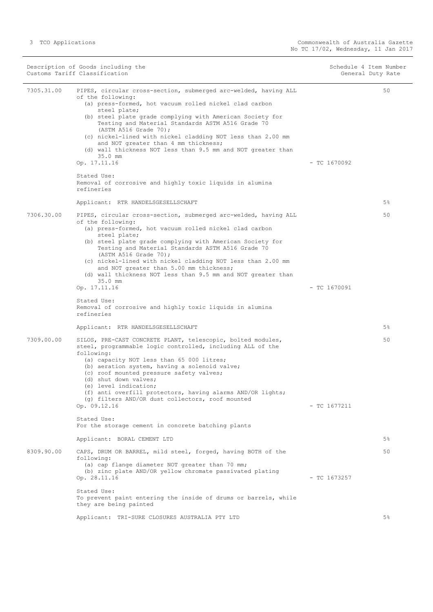| Description of Goods including the<br>Customs Tariff Classification |                                                                                                                                                                                                                                                                                                                                                                                                                                                                                                                | Schedule 4 Item Number<br>General Duty Rate |       |
|---------------------------------------------------------------------|----------------------------------------------------------------------------------------------------------------------------------------------------------------------------------------------------------------------------------------------------------------------------------------------------------------------------------------------------------------------------------------------------------------------------------------------------------------------------------------------------------------|---------------------------------------------|-------|
| 7305.31.00                                                          | PIPES, circular cross-section, submerged arc-welded, having ALL<br>of the following:<br>(a) press-formed, hot vacuum rolled nickel clad carbon<br>steel plate;<br>(b) steel plate grade complying with American Society for<br>Testing and Material Standards ASTM A516 Grade 70<br>(ASTM A516 Grade 70);<br>(c) nickel-lined with nickel cladding NOT less than 2.00 mm<br>and NOT greater than 4 mm thickness;<br>(d) wall thickness NOT less than 9.5 mm and NOT greater than<br>35.0 mm<br>Op. 17.11.16    | $-$ TC 1670092                              | 50    |
|                                                                     | Stated Use:<br>Removal of corrosive and highly toxic liquids in alumina<br>refineries                                                                                                                                                                                                                                                                                                                                                                                                                          |                                             |       |
|                                                                     | Applicant: RTR HANDELSGESELLSCHAFT                                                                                                                                                                                                                                                                                                                                                                                                                                                                             |                                             | $5\%$ |
| 7306.30.00                                                          | PIPES, circular cross-section, submerged arc-welded, having ALL<br>of the following:<br>(a) press-formed, hot vacuum rolled nickel clad carbon<br>steel plate;<br>(b) steel plate grade complying with American Society for<br>Testing and Material Standards ASTM A516 Grade 70<br>(ASTM A516 Grade 70);<br>(c) nickel-lined with nickel cladding NOT less than 2.00 mm<br>and NOT greater than 5.00 mm thickness;<br>(d) wall thickness NOT less than 9.5 mm and NOT greater than<br>35.0 mm<br>Op. 17.11.16 | $-$ TC 1670091                              | 50    |
|                                                                     | Stated Use:<br>Removal of corrosive and highly toxic liquids in alumina<br>refineries<br>Applicant: RTR HANDELSGESELLSCHAFT                                                                                                                                                                                                                                                                                                                                                                                    |                                             | $5\%$ |
| 7309.00.00                                                          | SILOS, PRE-CAST CONCRETE PLANT, telescopic, bolted modules,<br>steel, programmable logic controlled, including ALL of the<br>following:<br>(a) capacity NOT less than 65 000 litres;<br>(b) aeration system, having a solenoid valve;<br>(c) roof mounted pressure safety valves;<br>(d) shut down valves;<br>(e) level indication;<br>(f) anti overfill protectors, having alarms AND/OR lights;<br>(q) filters AND/OR dust collectors, roof mounted<br>Op. 09.12.16                                          | $-$ TC 1677211                              | 50    |
|                                                                     | Stated Use:<br>For the storage cement in concrete batching plants                                                                                                                                                                                                                                                                                                                                                                                                                                              |                                             |       |
|                                                                     | Applicant: BORAL CEMENT LTD                                                                                                                                                                                                                                                                                                                                                                                                                                                                                    |                                             | 5%    |
| 8309.90.00                                                          | CAPS, DRUM OR BARREL, mild steel, forged, having BOTH of the<br>following:<br>(a) cap flange diameter NOT greater than 70 mm;<br>(b) zinc plate AND/OR yellow chromate passivated plating<br>Op. 28.11.16<br>Stated Use:<br>To prevent paint entering the inside of drums or barrels, while<br>they are being painted                                                                                                                                                                                          | $-$ TC 1673257                              | 50    |
|                                                                     | Applicant: TRI-SURE CLOSURES AUSTRALIA PTY LTD                                                                                                                                                                                                                                                                                                                                                                                                                                                                 |                                             | $5\%$ |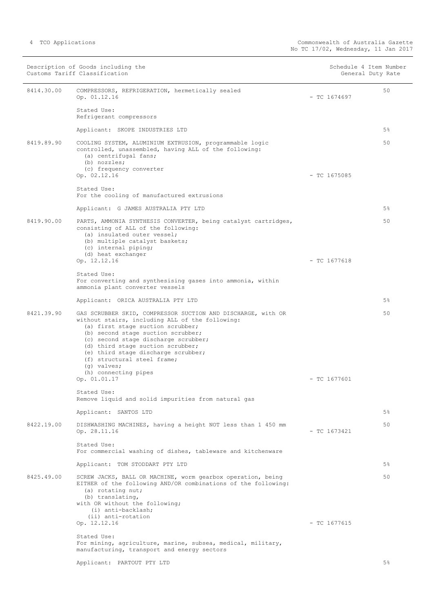|            | Description of Goods including the<br>Customs Tariff Classification                                                                                                                                                                                                                                                                                                                                  | Schedule 4 Item Number<br>General Duty Rate |       |
|------------|------------------------------------------------------------------------------------------------------------------------------------------------------------------------------------------------------------------------------------------------------------------------------------------------------------------------------------------------------------------------------------------------------|---------------------------------------------|-------|
| 8414.30.00 | COMPRESSORS, REFRIGERATION, hermetically sealed<br>Op. 01.12.16                                                                                                                                                                                                                                                                                                                                      | $-$ TC 1674697                              | 50    |
|            | Stated Use:<br>Refrigerant compressors                                                                                                                                                                                                                                                                                                                                                               |                                             |       |
|            | Applicant: SKOPE INDUSTRIES LTD                                                                                                                                                                                                                                                                                                                                                                      |                                             | 5%    |
| 8419.89.90 | COOLING SYSTEM, ALUMINIUM EXTRUSION, programmable logic<br>controlled, unassembled, having ALL of the following:<br>(a) centrifugal fans;<br>(b) nozzles;<br>(c) frequency converter<br>Op. 02.12.16                                                                                                                                                                                                 | $-$ TC 1675085                              | 50    |
|            | Stated Use:<br>For the cooling of manufactured extrusions                                                                                                                                                                                                                                                                                                                                            |                                             |       |
|            | Applicant: G JAMES AUSTRALIA PTY LTD                                                                                                                                                                                                                                                                                                                                                                 |                                             | $5\%$ |
| 8419.90.00 | PARTS, AMMONIA SYNTHESIS CONVERTER, being catalyst cartridges,<br>consisting of ALL of the following:<br>(a) insulated outer vessel;<br>(b) multiple catalyst baskets;<br>(c) internal piping;<br>(d) heat exchanger<br>Op. 12.12.16                                                                                                                                                                 | $-$ TC 1677618                              | 50    |
|            | Stated Use:<br>For converting and synthesising gases into ammonia, within<br>ammonia plant converter vessels                                                                                                                                                                                                                                                                                         |                                             |       |
|            | Applicant: ORICA AUSTRALIA PTY LTD                                                                                                                                                                                                                                                                                                                                                                   |                                             | $5\%$ |
| 8421.39.90 | GAS SCRUBBER SKID, COMPRESSOR SUCTION AND DISCHARGE, with OR<br>without stairs, including ALL of the following:<br>(a) first stage suction scrubber;<br>(b) second stage suction scrubber;<br>(c) second stage discharge scrubber;<br>(d) third stage suction scrubber;<br>(e) third stage discharge scrubber;<br>(f) structural steel frame;<br>(q) valves;<br>(h) connecting pipes<br>Op. 01.01.17 | $-$ TC 1677601                              | 50    |
|            | Stated Use:<br>Remove liquid and solid impurities from natural gas                                                                                                                                                                                                                                                                                                                                   |                                             |       |
|            | Applicant: SANTOS LTD                                                                                                                                                                                                                                                                                                                                                                                |                                             | 5%    |
| 8422.19.00 | DISHWASHING MACHINES, having a height NOT less than 1 450 mm<br>Op. 28.11.16                                                                                                                                                                                                                                                                                                                         | $-$ TC 1673421                              | 50    |
|            | Stated Use:<br>For commercial washing of dishes, tableware and kitchenware                                                                                                                                                                                                                                                                                                                           |                                             |       |
|            | Applicant: TOM STODDART PTY LTD                                                                                                                                                                                                                                                                                                                                                                      |                                             | $5\%$ |
| 8425.49.00 | SCREW JACKS, BALL OR MACHINE, worm gearbox operation, being<br>EITHER of the following AND/OR combinations of the following:<br>(a) rotating nut;<br>(b) translating,<br>with OR without the following;<br>(i) anti-backlash;<br>(ii) anti-rotation                                                                                                                                                  |                                             | 50    |
|            | Op. 12.12.16                                                                                                                                                                                                                                                                                                                                                                                         | $-$ TC 1677615                              |       |
|            | Stated Use:<br>For mining, agriculture, marine, subsea, medical, military,<br>manufacturing, transport and energy sectors                                                                                                                                                                                                                                                                            |                                             |       |
|            | Applicant: PARTOUT PTY LTD                                                                                                                                                                                                                                                                                                                                                                           |                                             | 5%    |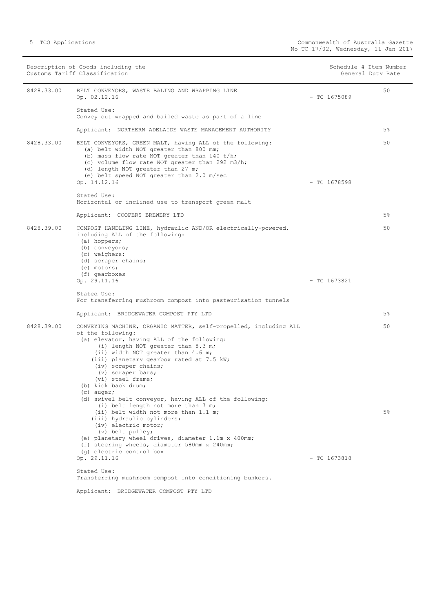| Description of Goods including the<br>Customs Tariff Classification |                                                                                                                                                                                                                                                                                                                                                                                                                                |                | Schedule 4 Item Number<br>General Duty Rate |
|---------------------------------------------------------------------|--------------------------------------------------------------------------------------------------------------------------------------------------------------------------------------------------------------------------------------------------------------------------------------------------------------------------------------------------------------------------------------------------------------------------------|----------------|---------------------------------------------|
| 8428.33.00                                                          | BELT CONVEYORS, WASTE BALING AND WRAPPING LINE<br>Op. 02.12.16                                                                                                                                                                                                                                                                                                                                                                 | $-$ TC 1675089 | 50                                          |
|                                                                     | Stated Use:<br>Convey out wrapped and bailed waste as part of a line                                                                                                                                                                                                                                                                                                                                                           |                |                                             |
|                                                                     | Applicant: NORTHERN ADELAIDE WASTE MANAGEMENT AUTHORITY                                                                                                                                                                                                                                                                                                                                                                        |                | 5%                                          |
| 8428.33.00                                                          | BELT CONVEYORS, GREEN MALT, having ALL of the following:<br>(a) belt width NOT greater than 800 mm;<br>(b) mass flow rate NOT greater than $140 t/h$ ;<br>(c) volume flow rate NOT greater than 292 m3/h;<br>(d) length NOT greater than 27 m;<br>(e) belt speed NOT greater than 2.0 m/sec<br>Op. 14.12.16                                                                                                                    | $-$ TC 1678598 | 50                                          |
|                                                                     | Stated Use:<br>Horizontal or inclined use to transport green malt                                                                                                                                                                                                                                                                                                                                                              |                |                                             |
|                                                                     | Applicant: COOPERS BREWERY LTD                                                                                                                                                                                                                                                                                                                                                                                                 |                | 5%                                          |
| 8428.39.00                                                          | COMPOST HANDLING LINE, hydraulic AND/OR electrically-powered,<br>including ALL of the following:<br>(a) hoppers;<br>(b) conveyors;<br>(c) weighers;<br>(d) scraper chains;<br>(e) motors;                                                                                                                                                                                                                                      |                | 50                                          |
|                                                                     | (f) gearboxes<br>Op. 29.11.16                                                                                                                                                                                                                                                                                                                                                                                                  | $-$ TC 1673821 |                                             |
|                                                                     | Stated Use:<br>For transferring mushroom compost into pasteurisation tunnels                                                                                                                                                                                                                                                                                                                                                   |                |                                             |
|                                                                     | Applicant: BRIDGEWATER COMPOST PTY LTD                                                                                                                                                                                                                                                                                                                                                                                         |                | $5\%$                                       |
| 8428.39.00                                                          | CONVEYING MACHINE, ORGANIC MATTER, self-propelled, including ALL<br>of the following:<br>(a) elevator, having ALL of the following:<br>(i) length NOT greater than 8.3 m;<br>(ii) width NOT greater than 4.6 m;<br>(iii) planetary gearbox rated at 7.5 kW;<br>(iv) scraper chains;<br>(v) scraper bars;<br>(vi) steel frame;<br>(b) kick back drum;<br>$(c)$ auger;<br>(d) swivel belt conveyor, having ALL of the following: |                | 50                                          |
|                                                                     | (i) belt length not more than 7 m;<br>(ii) belt width not more than 1.1 m;<br>(iii) hydraulic cylinders;<br>(iv) electric motor;<br>(v) belt pulley;<br>(e) planetary wheel drives, diameter 1.1m x 400mm;<br>(f) steering wheels, diameter 580mm x 240mm;<br>(q) electric control box<br>Op. 29.11.16<br>Stated Use:<br>Transferring mushroom compost into conditioning bunkers.                                              | $-$ TC 1673818 | 5%                                          |

Applicant: BRIDGEWATER COMPOST PTY LTD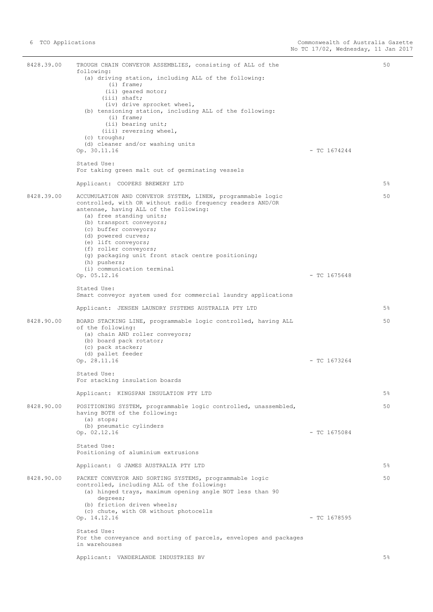8428.39.00 TROUGH CHAIN CONVEYOR ASSEMBLIES, consisting of ALL of the following: (a) driving station, including ALL of the following: (i) frame; (ii) geared motor; (iii) shaft; (iv) drive sprocket wheel, (b) tensioning station, including ALL of the following: (i) frame; (ii) bearing unit; (iii) reversing wheel, (c) troughs; (d) cleaner and/or washing units  $\overline{Op}$ . 30.11.16 - TC 1674244 Stated Use: For taking green malt out of germinating vessels Applicant: COOPERS BREWERY LTD  $50$ 5% 8428.39.00 ACCUMULATION AND CONVEYOR SYSTEM, LINEN, programmable logic controlled, with OR without radio frequency readers AND/OR antennae, having ALL of the following: (a) free standing units; (b) transport conveyors; (c) buffer conveyors; (d) powered curves; (e) lift conveyors; (f) roller conveyors; (g) packaging unit front stack centre positioning; (h) pushers; (i) communication terminal  $\mathcal{O}_{\mathbf{P}}$ . 05.12.16 - TC 1675648 Stated Use: Smart conveyor system used for commercial laundry applications Applicant: JENSEN LAUNDRY SYSTEMS AUSTRALIA PTY LTD 50 5% 8428.90.00 BOARD STACKING LINE, programmable logic controlled, having ALL of the following: (a) chain AND roller conveyors; (b) board pack rotator; (c) pack stacker; (d) pallet feeder Op. 28.11.16 - TC 1673264 Stated Use: For stacking insulation boards Applicant: KINGSPAN INSULATION PTY LTD 50 5% 8428.90.00 POSITIONING SYSTEM, programmable logic controlled, unassembled, having BOTH of the following: (a) stops; (b) pneumatic cylinders Op. 02.12.16 - TC 1675084 Stated Use: Positioning of aluminium extrusions Applicant: G JAMES AUSTRALIA PTY LTD 50 5% 8428.90.00 PACKET CONVEYOR AND SORTING SYSTEMS, programmable logic controlled, including ALL of the following: (a) hinged trays, maximum opening angle NOT less than 90 degrees; (b) friction driven wheels; (c) chute, with OR without photocells Op. 14.12.16 - TC 1678595 Stated Use: For the conveyance and sorting of parcels, envelopes and packages in warehouses Applicant: VANDERLANDE INDUSTRIES BV 50 5%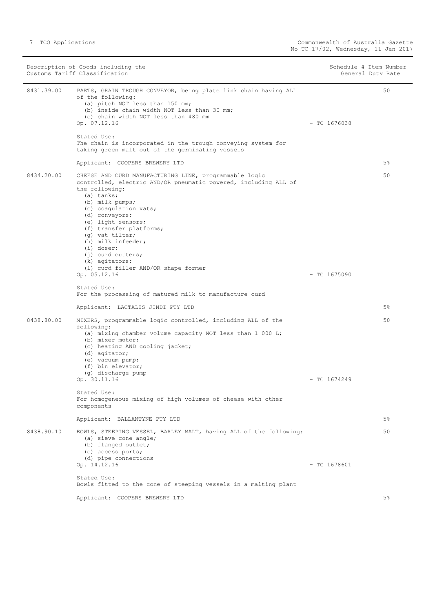Description of Goods including the Schedule 4 Item Number<br>
Customs Tariff Classification<br>
Schedule 4 Item Number Customs Tariff Classification 8431.39.00 PARTS, GRAIN TROUGH CONVEYOR, being plate link chain having ALL of the following: (a) pitch NOT less than 150 mm; (b) inside chain width NOT less than 30 mm; (c) chain width NOT less than 480 mm Op. 07.12.16 - TC 1676038 Stated Use: The chain is incorporated in the trough conveying system for taking green malt out of the germinating vessels Applicant: COOPERS BREWERY LTD 50 5% 8434.20.00 CHEESE AND CURD MANUFACTURING LINE, programmable logic controlled, electric AND/OR pneumatic powered, including ALL of the following: (a) tanks; (b) milk pumps; (c) coagulation vats; (d) conveyors; (e) light sensors; (f) transfer platforms; (g) vat tilter; (h) milk infeeder; (i) doser; (j) curd cutters; (k) agitators; (l) curd filler AND/OR shape former  $\overline{Op}$ , 05.12.16  $\overline{C}$  =  $\overline{C}$  1675090 Stated Use: For the processing of matured milk to manufacture curd Applicant: LACTALIS JINDI PTY LTD 50 5% 8438.80.00 MIXERS, programmable logic controlled, including ALL of the following: (a) mixing chamber volume capacity NOT less than 1 000 L; (b) mixer motor; (c) heating AND cooling jacket; (d) agitator; (e) vacuum pump; (f) bin elevator; (g) discharge pump  $\degree$  Op. 30.11.16 - TC 1674249 Stated Use: For homogeneous mixing of high volumes of cheese with other components Applicant: BALLANTYNE PTY LTD 50 5% 8438.90.10 BOWLS, STEEPING VESSEL, BARLEY MALT, having ALL of the following: (a) sieve cone angle; (b) flanged outlet; (c) access ports; (d) pipe connections Op. 14.12.16 - TC 1678601 Stated Use: Bowls fitted to the cone of steeping vessels in a malting plant Applicant: COOPERS BREWERY LTD 50 5%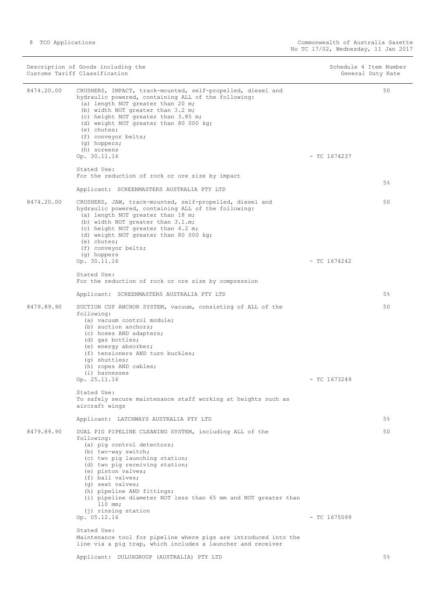|            | Description of Goods including the<br>Customs Tariff Classification                                                                                                                                                                                                                                                                                                                                                                                                                                 |                | Schedule 4 Item Number<br>General Duty Rate |
|------------|-----------------------------------------------------------------------------------------------------------------------------------------------------------------------------------------------------------------------------------------------------------------------------------------------------------------------------------------------------------------------------------------------------------------------------------------------------------------------------------------------------|----------------|---------------------------------------------|
| 8474.20.00 | CRUSHERS, IMPACT, track-mounted, self-propelled, diesel and<br>hydraulic powered, containing ALL of the following:<br>(a) length NOT greater than 20 m;<br>(b) width NOT greater than 3.2 m;<br>(c) height NOT greater than 3.85 m;<br>(d) weight NOT greater than 80 000 kg;<br>(e) chutes;<br>(f) conveyor belts;<br>(g) hoppers;<br>(h) screens<br>Op. 30.11.16<br>Stated Use:                                                                                                                   | $-$ TC 1674237 | 50                                          |
|            | For the reduction of rock or ore size by impact<br>Applicant: SCREENMASTERS AUSTRALIA PTY LTD                                                                                                                                                                                                                                                                                                                                                                                                       |                | $5\%$                                       |
| 8474.20.00 | CRUSHERS, JAW, track-mounted, self-propelled, diesel and<br>hydraulic powered, containing ALL of the following:<br>(a) length NOT greater than 18 m;<br>(b) width NOT greater than 3.1.m;<br>(c) height NOT greater than 4.2 m;<br>(d) weight NOT greater than 80 000 kg;<br>(e) chutes;<br>(f) conveyor belts;                                                                                                                                                                                     |                | 50                                          |
|            | (g) hoppers<br>Op. 30.11.16                                                                                                                                                                                                                                                                                                                                                                                                                                                                         | $-$ TC 1674242 |                                             |
|            | Stated Use:<br>For the reduction of rock or ore size by compression                                                                                                                                                                                                                                                                                                                                                                                                                                 |                |                                             |
|            | Applicant: SCREENMASTERS AUSTRALIA PTY LTD                                                                                                                                                                                                                                                                                                                                                                                                                                                          |                | $5\%$                                       |
| 8479.89.90 | SUCTION CUP ANCHOR SYSTEM, vacuum, consisting of ALL of the<br>following:<br>(a) vacuum control module;<br>(b) suction anchors;<br>(c) hoses AND adapters;<br>(d) gas bottles;<br>(e) energy absorber;<br>(f) tensioners AND turn buckles;<br>$(q)$ shuttles;<br>(h) ropes AND cables;<br>(i) harnesses                                                                                                                                                                                             |                | 50                                          |
|            | Op. 25.11.16<br>Stated Use:<br>To safely secure maintenance staff working at heights such as                                                                                                                                                                                                                                                                                                                                                                                                        | $-$ TC 1673249 |                                             |
|            | aircraft wings                                                                                                                                                                                                                                                                                                                                                                                                                                                                                      |                |                                             |
|            | Applicant: LATCHWAYS AUSTRALIA PTY LTD                                                                                                                                                                                                                                                                                                                                                                                                                                                              |                | $5\%$                                       |
| 8479.89.90 | DUAL PIG PIPELINE CLEANING SYSTEM, including ALL of the<br>following:<br>(a) pig control detectors;<br>(b) two-way switch;<br>(c) two pig launching station;<br>(d) two pig receiving station;<br>(e) piston valves;<br>(f) ball valves:<br>(q) seat valves;<br>(h) pipeline AND fittings;<br>(i) pipeline diameter NOT less than 65 mm and NOT greater than<br>$110$ mm;<br>(j) rinsing station<br>Op. 05.12.16<br>Stated Use:<br>Maintenance tool for pipeline where pigs are introduced into the | $-$ TC 1675099 | 50                                          |
|            | line via a pig trap, which includes a launcher and receiver                                                                                                                                                                                                                                                                                                                                                                                                                                         |                |                                             |
|            | Applicant: DULUXGROUP (AUSTRALIA) PTY LTD                                                                                                                                                                                                                                                                                                                                                                                                                                                           |                | $5\%$                                       |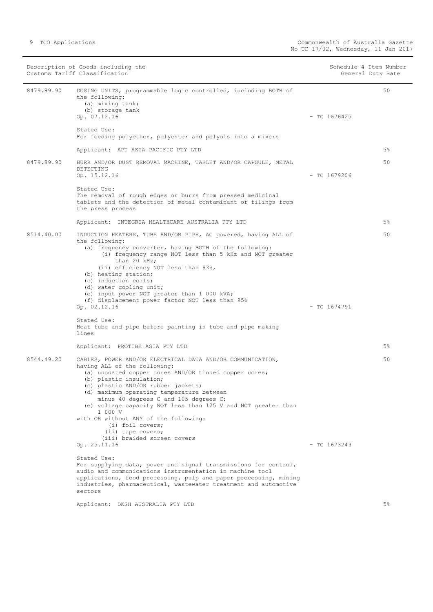|            | Description of Goods including the<br>Customs Tariff Classification                                                                                                                                                                                                                                                                                                                                                                                                                                     |                | Schedule 4 Item Number<br>General Duty Rate |
|------------|---------------------------------------------------------------------------------------------------------------------------------------------------------------------------------------------------------------------------------------------------------------------------------------------------------------------------------------------------------------------------------------------------------------------------------------------------------------------------------------------------------|----------------|---------------------------------------------|
| 8479.89.90 | DOSING UNITS, programmable logic controlled, including BOTH of<br>the following:<br>(a) mixing tank;<br>(b) storage tank<br>Op. 07.12.16                                                                                                                                                                                                                                                                                                                                                                | $-$ TC 1676425 | 50                                          |
|            | Stated Use:<br>For feeding polyether, polyester and polyols into a mixers                                                                                                                                                                                                                                                                                                                                                                                                                               |                |                                             |
|            | Applicant: APT ASIA PACIFIC PTY LTD                                                                                                                                                                                                                                                                                                                                                                                                                                                                     |                | 5 <sup>°</sup>                              |
| 8479.89.90 | BURR AND/OR DUST REMOVAL MACHINE, TABLET AND/OR CAPSULE, METAL<br>DETECTING<br>Op. 15.12.16                                                                                                                                                                                                                                                                                                                                                                                                             | $-$ TC 1679206 | 50                                          |
|            | Stated Use:<br>The removal of rough edges or burrs from pressed medicinal<br>tablets and the detection of metal contaminant or filings from<br>the press process                                                                                                                                                                                                                                                                                                                                        |                |                                             |
|            | Applicant: INTEGRIA HEALTHCARE AUSTRALIA PTY LTD                                                                                                                                                                                                                                                                                                                                                                                                                                                        |                | $5\%$                                       |
| 8514.40.00 | INDUCTION HEATERS, TUBE AND/OR PIPE, AC powered, having ALL of<br>the following:<br>(a) frequency converter, having BOTH of the following:<br>(i) frequency range NOT less than 5 kHz and NOT greater<br>than 20 kHz;<br>(ii) efficiency NOT less than 93%,<br>(b) heating station;<br>(c) induction coils:<br>(d) water cooling unit;<br>(e) input power NOT greater than 1 000 kVA;<br>(f) displacement power factor NOT less than 95%                                                                |                | 50                                          |
|            | Op. 02.12.16<br>Stated Use:<br>Heat tube and pipe before painting in tube and pipe making<br>lines                                                                                                                                                                                                                                                                                                                                                                                                      | $-$ TC 1674791 |                                             |
|            | Applicant: PROTUBE ASIA PTY LTD                                                                                                                                                                                                                                                                                                                                                                                                                                                                         |                | $5\%$                                       |
| 8544.49.20 | CABLES, POWER AND/OR ELECTRICAL DATA AND/OR COMMUNICATION,<br>having ALL of the following:<br>(a) uncoated copper cores AND/OR tinned copper cores;<br>(b) plastic insulation;<br>(c) plastic AND/OR rubber jackets;<br>(d) maximum operating temperature between<br>minus 40 degrees C and 105 degrees C;<br>(e) voltage capacity NOT less than 125 V and NOT greater than<br>1 000 V<br>with OR without ANY of the following:<br>(i) foil covers;<br>(ii) tape covers;<br>(iii) braided screen covers |                | 50                                          |
|            | Op. 25.11.16                                                                                                                                                                                                                                                                                                                                                                                                                                                                                            | $-$ TC 1673243 |                                             |
|            | Stated Use:<br>For supplying data, power and signal transmissions for control,<br>audio and communications instrumentation in machine tool<br>applications, food processing, pulp and paper processing, mining<br>industries, pharmaceutical, wastewater treatment and automotive<br>sectors                                                                                                                                                                                                            |                |                                             |
|            | Applicant: DKSH AUSTRALIA PTY LTD                                                                                                                                                                                                                                                                                                                                                                                                                                                                       |                | 5%                                          |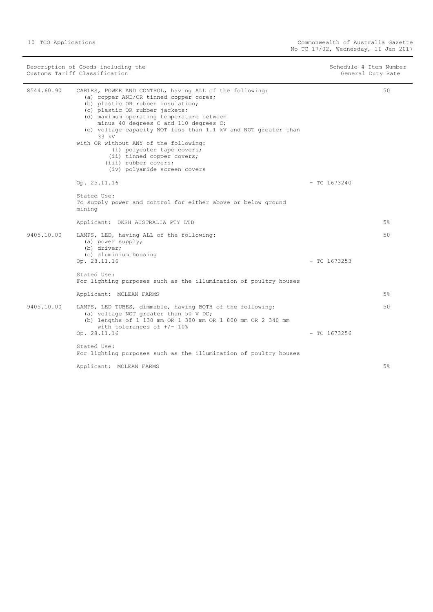| Description of Goods including the<br>Customs Tariff Classification |                                                                                                                                                                                                                                                                                                                                                                                                                                                                                                        | Schedule 4 Item Number<br>General Duty Rate |       |
|---------------------------------------------------------------------|--------------------------------------------------------------------------------------------------------------------------------------------------------------------------------------------------------------------------------------------------------------------------------------------------------------------------------------------------------------------------------------------------------------------------------------------------------------------------------------------------------|---------------------------------------------|-------|
| 8544.60.90                                                          | CABLES, POWER AND CONTROL, having ALL of the following:<br>(a) copper AND/OR tinned copper cores;<br>(b) plastic OR rubber insulation;<br>(c) plastic OR rubber jackets;<br>(d) maximum operating temperature between<br>minus 40 degrees C and 110 degrees C;<br>(e) voltage capacity NOT less than 1.1 kV and NOT greater than<br>33 kV<br>with OR without ANY of the following:<br>(i) polyester tape covers;<br>(ii) tinned copper covers;<br>(iii) rubber covers;<br>(iv) polyamide screen covers |                                             | 50    |
|                                                                     | Op. 25.11.16                                                                                                                                                                                                                                                                                                                                                                                                                                                                                           | $-$ TC 1673240                              |       |
|                                                                     | Stated Use:<br>To supply power and control for either above or below ground<br>mining                                                                                                                                                                                                                                                                                                                                                                                                                  |                                             |       |
|                                                                     | Applicant: DKSH AUSTRALIA PTY LTD                                                                                                                                                                                                                                                                                                                                                                                                                                                                      |                                             | 5%    |
| 9405.10.00                                                          | LAMPS, LED, having ALL of the following:<br>(a) power supply;<br>(b) driver;<br>(c) aluminium housing<br>Op. 28.11.16                                                                                                                                                                                                                                                                                                                                                                                  | $-$ TC 1673253                              | 50    |
|                                                                     | Stated Use:<br>For lighting purposes such as the illumination of poultry houses                                                                                                                                                                                                                                                                                                                                                                                                                        |                                             |       |
|                                                                     | Applicant: MCLEAN FARMS                                                                                                                                                                                                                                                                                                                                                                                                                                                                                |                                             | 5%    |
| 9405.10.00                                                          | LAMPS, LED TUBES, dimmable, having BOTH of the following:<br>(a) voltage NOT greater than 50 V DC;<br>(b) lengths of 1 130 mm OR 1 380 mm OR 1 800 mm OR 2 340 mm<br>with tolerances of $+/- 10$ %<br>Op. 28.11.16                                                                                                                                                                                                                                                                                     | $-$ TC 1673256                              | 50    |
|                                                                     | Stated Use:                                                                                                                                                                                                                                                                                                                                                                                                                                                                                            |                                             |       |
|                                                                     | For lighting purposes such as the illumination of poultry houses                                                                                                                                                                                                                                                                                                                                                                                                                                       |                                             |       |
|                                                                     | Applicant: MCLEAN FARMS                                                                                                                                                                                                                                                                                                                                                                                                                                                                                |                                             | $5\%$ |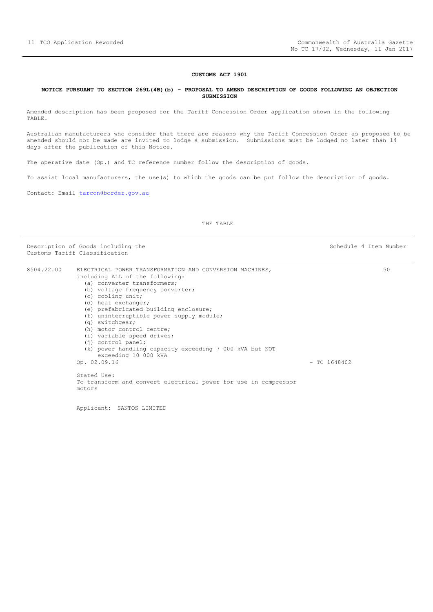#### **CUSTOMS ACT 1901**

#### <span id="page-10-0"></span>**NOTICE PURSUANT TO SECTION 269L(4B)(b) - PROPOSAL TO AMEND DESCRIPTION OF GOODS FOLLOWING AN OBJECTION SUBMISSION**

Amended description has been proposed for the Tariff Concession Order application shown in the following TABLE.

Australian manufacturers who consider that there are reasons why the Tariff Concession Order as proposed to be amended should not be made are invited to lodge a submission. Submissions must be lodged no later than 14 days after the publication of this Notice.

The operative date (Op.) and TC reference number follow the description of goods.

To assist local manufacturers, the use(s) to which the goods can be put follow the description of goods.

Contact: Email [tarcon@border.gov.au](mailto:tarcon@border.gov.au)

THE TABLE

Description of Goods including the Schedule 4 Item Number Customs Tariff Classification

50

| 8504.22.00 | ELECTRICAL POWER TRANSFORMATION AND CONVERSION MACHINES,        |                |
|------------|-----------------------------------------------------------------|----------------|
|            | including ALL of the following:                                 |                |
|            | (a) converter transformers;                                     |                |
|            | (b) voltage frequency converter;                                |                |
|            | (c) cooling unit;                                               |                |
|            | (d) heat exchanger;                                             |                |
|            | (e) prefabricated building enclosure;                           |                |
|            | (f) uninterruptible power supply module;                        |                |
|            | (q) switchgear;                                                 |                |
|            | (h) motor control centre;                                       |                |
|            | (i) variable speed drives;                                      |                |
|            | $(i)$ control panel;                                            |                |
|            | (k) power handling capacity exceeding 7 000 kVA but NOT         |                |
|            | exceeding 10 000 kVA                                            |                |
|            | Op. 02.09.16                                                    | $-$ TC 1648402 |
|            |                                                                 |                |
|            | Stated Use:                                                     |                |
|            | To transform and convert electrical power for use in compressor |                |
|            | motors                                                          |                |
|            |                                                                 |                |

Applicant: SANTOS LIMITED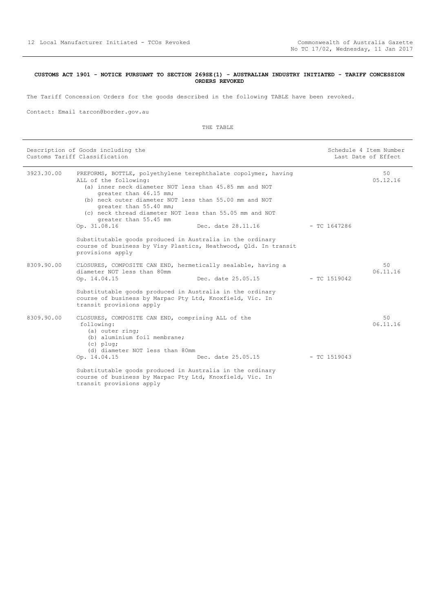#### <span id="page-11-0"></span>**CUSTOMS ACT 1901 - NOTICE PURSUANT TO SECTION 269SE(1) - AUSTRALIAN INDUSTRY INITIATED - TARIFF CONCESSION ORDERS REVOKED**

The Tariff Concession Orders for the goods described in the following TABLE have been revoked.

Contact: Email tarcon@border.gov.au

| Description of Goods including the<br>Customs Tariff Classification |                                                                                                                                                                                                                                                                                                                                                     | Schedule 4 Item Number | Last Date of Effect |                |
|---------------------------------------------------------------------|-----------------------------------------------------------------------------------------------------------------------------------------------------------------------------------------------------------------------------------------------------------------------------------------------------------------------------------------------------|------------------------|---------------------|----------------|
| 3923.30.00                                                          | PREFORMS, BOTTLE, polyethylene terephthalate copolymer, having<br>ALL of the following:<br>(a) inner neck diameter NOT less than 45.85 mm and NOT<br>greater than 46.15 mm;<br>(b) neck outer diameter NOT less than 55.00 mm and NOT<br>greater than 55.40 mm;<br>(c) neck thread diameter NOT less than 55.05 mm and NOT<br>greater than 55.45 mm |                        |                     | 50<br>05.12.16 |
|                                                                     | Op. 31.08.16                                                                                                                                                                                                                                                                                                                                        | Dec. date 28.11.16     | - TC 1647286        |                |
|                                                                     | Substitutable goods produced in Australia in the ordinary<br>course of business by Visy Plastics, Heathwood, Qld. In transit<br>provisions apply                                                                                                                                                                                                    |                        |                     |                |
| 8309.90.00                                                          | CLOSURES, COMPOSITE CAN END, hermetically sealable, having a<br>diameter NOT less than 80mm<br>Op. 14.04.15                                                                                                                                                                                                                                         | Dec. date 25.05.15     | $-$ TC 1519042      | 50<br>06.11.16 |
|                                                                     | Substitutable goods produced in Australia in the ordinary<br>course of business by Marpac Pty Ltd, Knoxfield, Vic. In<br>transit provisions apply                                                                                                                                                                                                   |                        |                     |                |
| 8309.90.00                                                          | CLOSURES, COMPOSITE CAN END, comprising ALL of the<br>following:<br>(a) outer ring;<br>(b) aluminium foil membrane;<br>$(c)$ plug;<br>(d) diameter NOT less than 80mm                                                                                                                                                                               |                        |                     | 50<br>06.11.16 |
|                                                                     | Op. 14.04.15                                                                                                                                                                                                                                                                                                                                        | Dec. date 25.05.15     | $-$ TC 1519043      |                |
|                                                                     | Substitutable goods produced in Australia in the ordinary<br>course of business by Marpac Pty Ltd, Knoxfield, Vic. In<br>transit provisions apply                                                                                                                                                                                                   |                        |                     |                |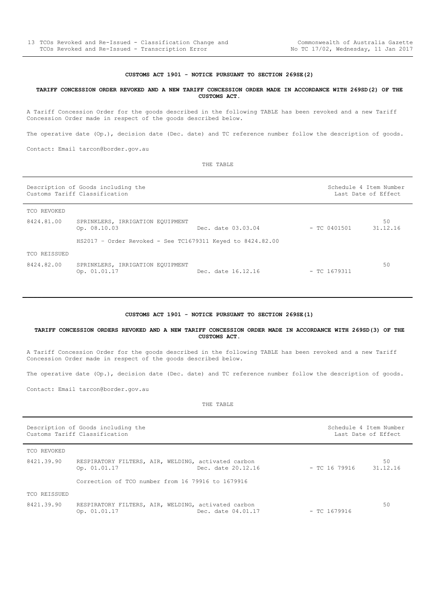#### **CUSTOMS ACT 1901 - NOTICE PURSUANT TO SECTION 269SE(2)**

#### <span id="page-12-0"></span>**TARIFF CONCESSION ORDER REVOKED AND A NEW TARIFF CONCESSION ORDER MADE IN ACCORDANCE WITH 269SD(2) OF THE CUSTOMS ACT.**

A Tariff Concession Order for the goods described in the following TABLE has been revoked and a new Tariff Concession Order made in respect of the goods described below.

The operative date (Op.), decision date (Dec. date) and TC reference number follow the description of goods.

Contact: Email tarcon@border.gov.au

THE TABLE

| Description of Goods including the<br>Customs Tariff Classification |                                                              |                    | Schedule 4 Item Number<br>Last Date of Effect |                |
|---------------------------------------------------------------------|--------------------------------------------------------------|--------------------|-----------------------------------------------|----------------|
| TCO REVOKED                                                         |                                                              |                    |                                               |                |
| 8424.81.00                                                          | SPRINKLERS, IRRIGATION EQUIPMENT<br>Op. 08.10.03             | Dec. date 03.03.04 | $-$ TC 0401501                                | 50<br>31.12.16 |
|                                                                     | $HS2017 - Order$ Revoked - See TC1679311 Keyed to 8424.82.00 |                    |                                               |                |
| TCO REISSUED                                                        |                                                              |                    |                                               |                |
| 8424.82.00                                                          | SPRINKLERS, IRRIGATION EQUIPMENT<br>Op. 01.01.17             | Dec. date 16.12.16 | $-$ TC 1679311                                | 50             |

#### **CUSTOMS ACT 1901 - NOTICE PURSUANT TO SECTION 269SE(1)**

<span id="page-12-1"></span>**TARIFF CONCESSION ORDERS REVOKED AND A NEW TARIFF CONCESSION ORDER MADE IN ACCORDANCE WITH 269SD(3) OF THE CUSTOMS ACT.**

A Tariff Concession Order for the goods described in the following TABLE has been revoked and a new Tariff Concession Order made in respect of the goods described below.

The operative date (Op.), decision date (Dec. date) and TC reference number follow the description of goods.

Contact: Email tarcon@border.gov.au

| Description of Goods including the<br>Customs Tariff Classification |                                                                     |                    | Schedule 4 Item Number<br>Last Date of Effect |                |
|---------------------------------------------------------------------|---------------------------------------------------------------------|--------------------|-----------------------------------------------|----------------|
| TCO REVOKED                                                         |                                                                     |                    |                                               |                |
| 8421.39.90                                                          | RESPIRATORY FILTERS, AIR, WELDING, activated carbon<br>Op. 01.01.17 | Dec. date 20.12.16 | – ТС 16 79916                                 | 50<br>31.12.16 |
|                                                                     | Correction of TCO number from 16 79916 to 1679916                   |                    |                                               |                |
| TCO REISSUED                                                        |                                                                     |                    |                                               |                |
| 8421.39.90                                                          | RESPIRATORY FILTERS, AIR, WELDING, activated carbon<br>Op. 01.01.17 | Dec. date 04.01.17 | $-$ TC 1679916                                | 50             |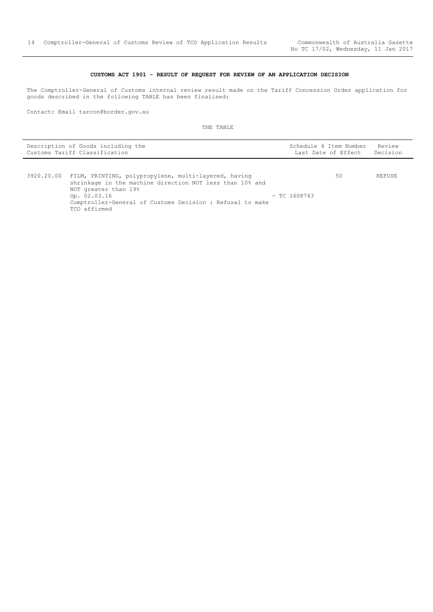50 REFUSE

#### **CUSTOMS ACT 1901 - RESULT OF REQUEST FOR REVIEW OF AN APPLICATION DECISION**

<span id="page-13-0"></span>The Comptroller-General of Customs internal review result made on the Tariff Concession Order application for goods described in the following TABLE has been finalised:

Contact: Email tarcon@border.gov.au

| Description of Goods including the | Schedule 4 Item Number Review |  |
|------------------------------------|-------------------------------|--|
| Customs Tariff Classification      | Last Date of Effect Decision  |  |

|  | 3920.20.00 FILM, PRINTING, polypropylene, multi-layered, having<br>shrinkage in the machine direction NOT less than 10% and |                |  |
|--|-----------------------------------------------------------------------------------------------------------------------------|----------------|--|
|  | NOT greater than 19%<br>Op. 02.03.16                                                                                        | $-$ TC 1608743 |  |
|  | Comptroller-General of Customs Decision : Refusal to make<br>TCO affirmed                                                   |                |  |